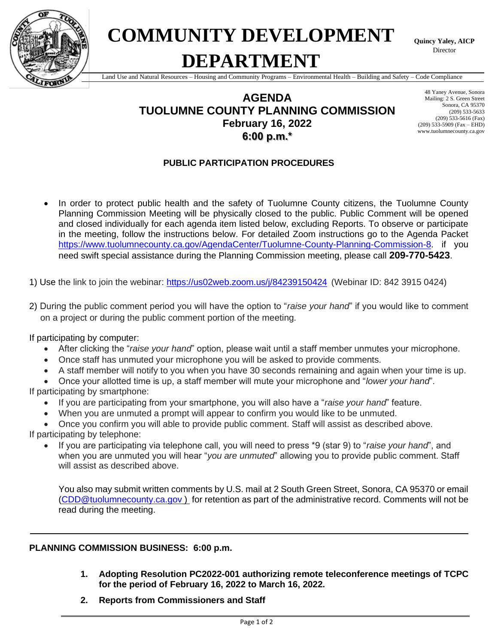

**COMMUNITY DEVELOPMENT DEPARTMENT**

**Quincy Yaley, AICP** Director

Land Use and Natural Resources – Housing and Community Programs – Environmental Health – Building and Safety – Code Compliance

#### **AGENDA TUOLUMNE COUNTY PLANNING COMMISSION February 16, 2022 6:00 p.m.\***

48 Yaney Avenue, Sonora Mailing: 2 S. Green Street Sonora, CA 95370 (209) 533-5633 (209) 533-5616 (Fax) (209) 533-5909 (Fax – EHD) www.tuolumnecounty.ca.gov

#### **PUBLIC PARTICIPATION PROCEDURES**

In order to protect public health and the safety of Tuolumne County citizens, the Tuolumne County Planning Commission Meeting will be physically closed to the public. Public Comment will be opened and closed individually for each agenda item listed below, excluding Reports. To observe or participate in the meeting, follow the instructions below. For detailed Zoom instructions go to the Agenda Packet [https://www.tuolumnecounty.ca.gov/AgendaCenter/Tuolumne-County-Planning-Commission-8.](https://www.tuolumnecounty.ca.gov/AgendaCenter/Tuolumne-County-Planning-Commission-8) if you need swift special assistance during the Planning Commission meeting, please call **209-770-5423**.

1) Use the link to join the webinar: <https://us02web.zoom.us/j/84239150424> (Webinar ID: 842 3915 0424)

2) During the public comment period you will have the option to "*raise your hand*" if you would like to comment on a project or during the public comment portion of the meeting.

If participating by computer:

- After clicking the "*raise your hand*" option, please wait until a staff member unmutes your microphone.
- Once staff has unmuted your microphone you will be asked to provide comments.
- A staff member will notify to you when you have 30 seconds remaining and again when your time is up.

• Once your allotted time is up, a staff member will mute your microphone and "*lower your hand*". If participating by smartphone:

- If you are participating from your smartphone, you will also have a "*raise your hand*" feature.
- When you are unmuted a prompt will appear to confirm you would like to be unmuted.

• Once you confirm you will able to provide public comment. Staff will assist as described above.

If participating by telephone:

• If you are participating via telephone call, you will need to press \*9 (star 9) to "*raise your hand*", and when you are unmuted you will hear "*you are unmuted*" allowing you to provide public comment. Staff will assist as described above.

You also may submit written comments by U.S. mail at 2 South Green Street, Sonora, CA 95370 or email [\(CDD@tuolumnecounty.ca.gov](mailto:CDD@tuolumnecounty.ca.gov) ) for retention as part of the administrative record. Comments will not be read during the meeting.

#### **PLANNING COMMISSION BUSINESS: 6:00 p.m.**

- **1. Adopting Resolution PC2022-001 authorizing remote teleconference meetings of TCPC for the period of February 16, 2022 to March 16, 2022.**
- **2. Reports from Commissioners and Staff**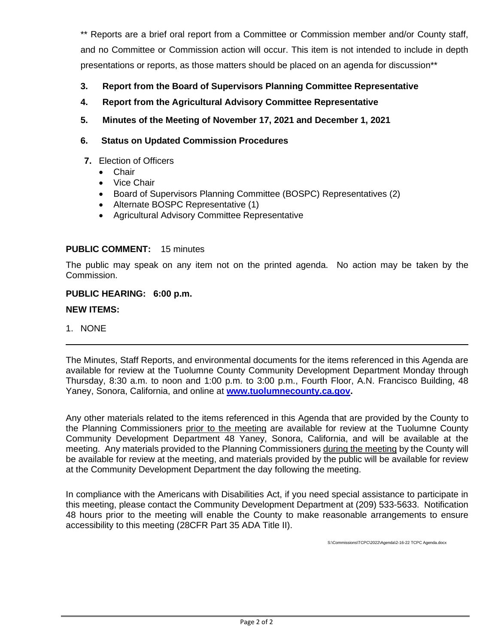\*\* Reports are a brief oral report from a Committee or Commission member and/or County staff, and no Committee or Commission action will occur. This item is not intended to include in depth presentations or reports, as those matters should be placed on an agenda for discussion\*\*

- **3. Report from the Board of Supervisors Planning Committee Representative**
- **4. Report from the Agricultural Advisory Committee Representative**
- **5. Minutes of the Meeting of November 17, 2021 and December 1, 2021**
- **6. Status on Updated Commission Procedures**
- **7.** Election of Officers
	- Chair
	- Vice Chair
	- Board of Supervisors Planning Committee (BOSPC) Representatives (2)
	- Alternate BOSPC Representative (1)
	- Agricultural Advisory Committee Representative

#### **PUBLIC COMMENT:** 15 minutes

The public may speak on any item not on the printed agenda. No action may be taken by the Commission.

#### **PUBLIC HEARING: 6:00 p.m.**

#### **NEW ITEMS:**

1. NONE

The Minutes, Staff Reports, and environmental documents for the items referenced in this Agenda are available for review at the Tuolumne County Community Development Department Monday through Thursday, 8:30 a.m. to noon and 1:00 p.m. to 3:00 p.m., Fourth Floor, A.N. Francisco Building, 48 Yaney, Sonora, California, and online at **[www.tuolumnecounty.ca.gov.](http://www.tuolumnecounty.ca.gov/)** 

Any other materials related to the items referenced in this Agenda that are provided by the County to the Planning Commissioners prior to the meeting are available for review at the Tuolumne County Community Development Department 48 Yaney, Sonora, California, and will be available at the meeting. Any materials provided to the Planning Commissioners during the meeting by the County will be available for review at the meeting, and materials provided by the public will be available for review at the Community Development Department the day following the meeting.

In compliance with the Americans with Disabilities Act, if you need special assistance to participate in this meeting, please contact the Community Development Department at (209) 533-5633. Notification 48 hours prior to the meeting will enable the County to make reasonable arrangements to ensure accessibility to this meeting (28CFR Part 35 ADA Title II).

S:\Commissions\TCPC\2022\Agenda\2-16-22 TCPC Agenda.docx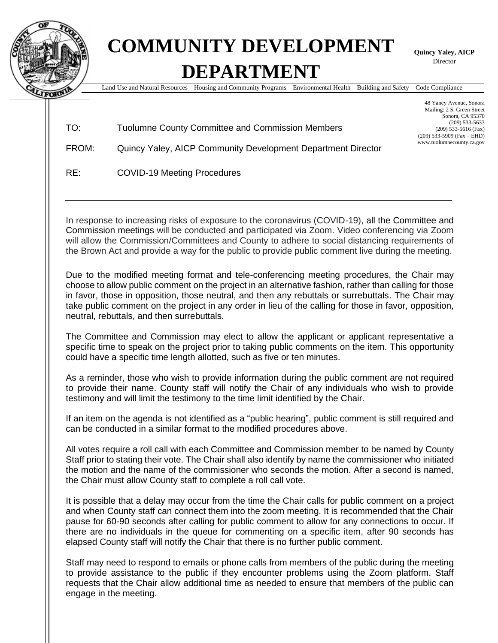

## **COMMUNITY DEVELOPMENT DEPARTMENT**

**Quincy Yaley, AICP** Director

Land Use and Natural Resources – Housing and Community Programs – Environmental Health – Building and Safety – Code Compliance

| TO: | Tuolumne County Committee and Commission Members |
|-----|--------------------------------------------------|
|     |                                                  |

48 Yaney Avenue, Sonora Mailing: 2 S. Green Street Sonora, CA 95370 (209) 533-5633 (209) 533-5616 (Fax) (209) 533-5909 (Fax – EHD) www.tuolumnecounty.ca.gov

FROM: Quincy Yaley, AICP Community Development Department Director

RE: COVID-19 Meeting Procedures

In response to increasing risks of exposure to the coronavirus (COVID-19), all the Committee and Commission meetings will be conducted and participated via Zoom. Video conferencing via Zoom will allow the Commission/Committees and County to adhere to social distancing requirements of the Brown Act and provide a way for the public to provide public comment live during the meeting.

Due to the modified meeting format and tele-conferencing meeting procedures, the Chair may choose to allow public comment on the project in an alternative fashion, rather than calling for those in favor, those in opposition, those neutral, and then any rebuttals or surrebuttals. The Chair may take public comment on the project in any order in lieu of the calling for those in favor, opposition, neutral, rebuttals, and then surrebuttals.

The Committee and Commission may elect to allow the applicant or applicant representative a specific time to speak on the project prior to taking public comments on the item. This opportunity could have a specific time length allotted, such as five or ten minutes.

As a reminder, those who wish to provide information during the public comment are not required to provide their name. County staff will notify the Chair of any individuals who wish to provide testimony and will limit the testimony to the time limit identified by the Chair.

If an item on the agenda is not identified as a "public hearing", public comment is still required and can be conducted in a similar format to the modified procedures above.

All votes require a roll call with each Committee and Commission member to be named by County Staff prior to stating their vote. The Chair shall also identify by name the commissioner who initiated the motion and the name of the commissioner who seconds the motion. After a second is named, the Chair must allow County staff to complete a roll call vote.

It is possible that a delay may occur from the time the Chair calls for public comment on a project and when County staff can connect them into the zoom meeting. It is recommended that the Chair pause for 60-90 seconds after calling for public comment to allow for any connections to occur. If there are no individuals in the queue for commenting on a specific item, after 90 seconds has elapsed County staff will notify the Chair that there is no further public comment.

Staff may need to respond to emails or phone calls from members of the public during the meeting to provide assistance to the public if they encounter problems using the Zoom platform. Staff requests that the Chair allow additional time as needed to ensure that members of the public can engage in the meeting.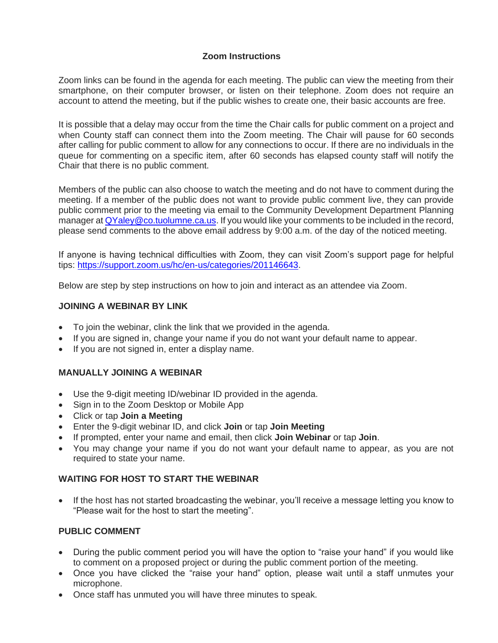#### **Zoom Instructions**

Zoom links can be found in the agenda for each meeting. The public can view the meeting from their smartphone, on their computer browser, or listen on their telephone. Zoom does not require an account to attend the meeting, but if the public wishes to create one, their basic accounts are free.

It is possible that a delay may occur from the time the Chair calls for public comment on a project and when County staff can connect them into the Zoom meeting. The Chair will pause for 60 seconds after calling for public comment to allow for any connections to occur. If there are no individuals in the queue for commenting on a specific item, after 60 seconds has elapsed county staff will notify the Chair that there is no public comment.

Members of the public can also choose to watch the meeting and do not have to comment during the meeting. If a member of the public does not want to provide public comment live, they can provide public comment prior to the meeting via email to the Community Development Department Planning manager at QYaley@co.tuolumne.ca.us. If you would like your comments to be included in the record, please send comments to the above email address by 9:00 a.m. of the day of the noticed meeting.

If anyone is having technical difficulties with Zoom, they can visit Zoom's support page for helpful tips: [https://support.zoom.us/hc/en-us/categories/201146643.](https://support.zoom.us/hc/en-us/categories/201146643)

Below are step by step instructions on how to join and interact as an attendee via Zoom.

#### **JOINING A WEBINAR BY LINK**

- To join the webinar, clink the link that we provided in the agenda.
- If you are signed in, change your name if you do not want your default name to appear.
- If you are not signed in, enter a display name.

#### **MANUALLY JOINING A WEBINAR**

- Use the 9-digit meeting ID/webinar ID provided in the agenda.
- Sign in to the Zoom Desktop or Mobile App
- Click or tap **Join a Meeting**
- Enter the 9-digit webinar ID, and click **Join** or tap **Join Meeting**
- If prompted, enter your name and email, then click **Join Webinar** or tap **Join**.
- You may change your name if you do not want your default name to appear, as you are not required to state your name.

#### **WAITING FOR HOST TO START THE WEBINAR**

• If the host has not started broadcasting the webinar, you'll receive a message letting you know to "Please wait for the host to start the meeting".

#### **PUBLIC COMMENT**

- During the public comment period you will have the option to "raise your hand" if you would like to comment on a proposed project or during the public comment portion of the meeting.
- Once you have clicked the "raise your hand" option, please wait until a staff unmutes your microphone.
- Once staff has unmuted you will have three minutes to speak.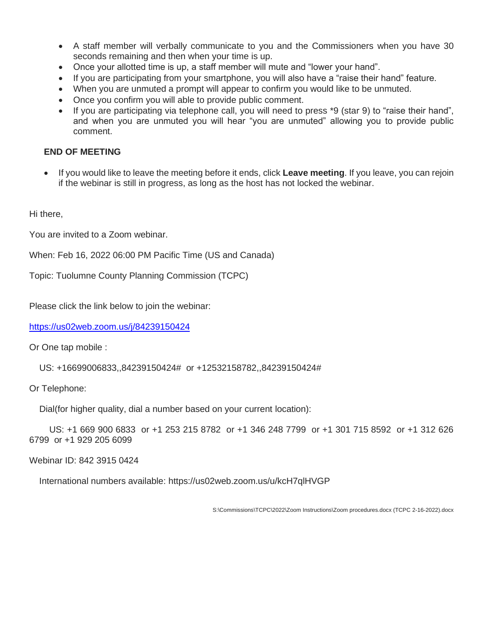- A staff member will verbally communicate to you and the Commissioners when you have 30 seconds remaining and then when your time is up.
- Once your allotted time is up, a staff member will mute and "lower your hand".
- If you are participating from your smartphone, you will also have a "raise their hand" feature.
- When you are unmuted a prompt will appear to confirm you would like to be unmuted.
- Once you confirm you will able to provide public comment.
- If you are participating via telephone call, you will need to press \*9 (star 9) to "raise their hand", and when you are unmuted you will hear "you are unmuted" allowing you to provide public comment.

#### **END OF MEETING**

• If you would like to leave the meeting before it ends, click **Leave meeting**. If you leave, you can rejoin if the webinar is still in progress, as long as the host has not locked the webinar.

Hi there,

You are invited to a Zoom webinar.

When: Feb 16, 2022 06:00 PM Pacific Time (US and Canada)

Topic: Tuolumne County Planning Commission (TCPC)

Please click the link below to join the webinar:

<https://us02web.zoom.us/j/84239150424>

Or One tap mobile :

US: +16699006833,,84239150424# or +12532158782,,84239150424#

Or Telephone:

Dial(for higher quality, dial a number based on your current location):

 US: +1 669 900 6833 or +1 253 215 8782 or +1 346 248 7799 or +1 301 715 8592 or +1 312 626 6799 or +1 929 205 6099

Webinar ID: 842 3915 0424

International numbers available: https://us02web.zoom.us/u/kcH7qlHVGP

S:\Commissions\TCPC\2022\Zoom Instructions\Zoom procedures.docx (TCPC 2-16-2022).docx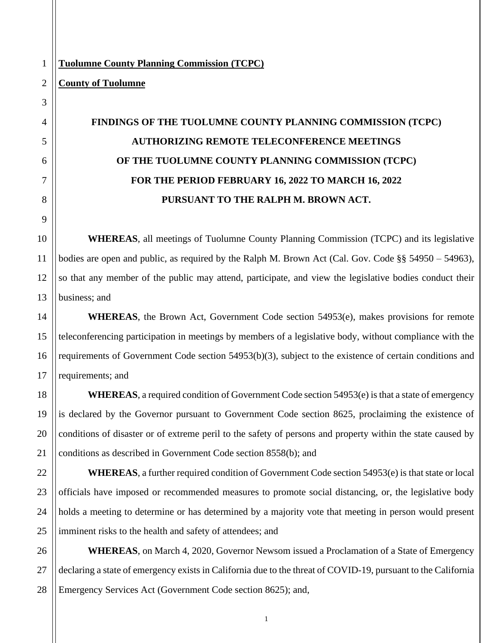#### **Tuolumne County Planning Commission (TCPC)**

#### **County of Tuolumne**

1

2

3

### **FINDINGS OF THE TUOLUMNE COUNTY PLANNING COMMISSION (TCPC) AUTHORIZING REMOTE TELECONFERENCE MEETINGS OF THE TUOLUMNE COUNTY PLANNING COMMISSION (TCPC) FOR THE PERIOD FEBRUARY 16, 2022 TO MARCH 16, 2022 PURSUANT TO THE RALPH M. BROWN ACT.**

**WHEREAS**, all meetings of Tuolumne County Planning Commission (TCPC) and its legislative bodies are open and public, as required by the Ralph M. Brown Act (Cal. Gov. Code §§ 54950 – 54963), so that any member of the public may attend, participate, and view the legislative bodies conduct their business; and

**WHEREAS**, the Brown Act, Government Code section 54953(e), makes provisions for remote teleconferencing participation in meetings by members of a legislative body, without compliance with the requirements of Government Code section 54953(b)(3), subject to the existence of certain conditions and requirements; and

**WHEREAS**, a required condition of Government Code section 54953(e) is that a state of emergency is declared by the Governor pursuant to Government Code section 8625, proclaiming the existence of conditions of disaster or of extreme peril to the safety of persons and property within the state caused by conditions as described in Government Code section 8558(b); and

**WHEREAS**, a further required condition of Government Code section 54953(e) is that state or local officials have imposed or recommended measures to promote social distancing, or, the legislative body holds a meeting to determine or has determined by a majority vote that meeting in person would present imminent risks to the health and safety of attendees; and

**WHEREAS**, on March 4, 2020, Governor Newsom issued a Proclamation of a State of Emergency declaring a state of emergency exists in California due to the threat of COVID-19, pursuant to the California Emergency Services Act (Government Code section 8625); and,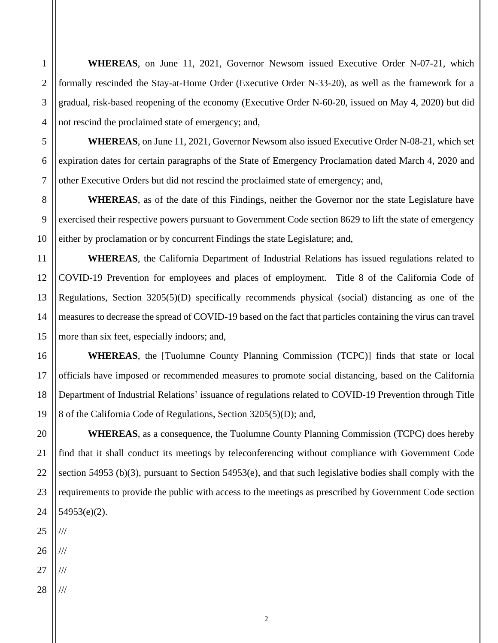**WHEREAS**, on June 11, 2021, Governor Newsom issued Executive Order N-07-21, which formally rescinded the Stay-at-Home Order (Executive Order N-33-20), as well as the framework for a gradual, risk-based reopening of the economy (Executive Order N-60-20, issued on May 4, 2020) but did not rescind the proclaimed state of emergency; and,

**WHEREAS**, on June 11, 2021, Governor Newsom also issued Executive Order N-08-21, which set expiration dates for certain paragraphs of the State of Emergency Proclamation dated March 4, 2020 and other Executive Orders but did not rescind the proclaimed state of emergency; and,

**WHEREAS**, as of the date of this Findings, neither the Governor nor the state Legislature have exercised their respective powers pursuant to Government Code section 8629 to lift the state of emergency either by proclamation or by concurrent Findings the state Legislature; and,

**WHEREAS**, the California Department of Industrial Relations has issued regulations related to COVID-19 Prevention for employees and places of employment. Title 8 of the California Code of Regulations, Section 3205(5)(D) specifically recommends physical (social) distancing as one of the measures to decrease the spread of COVID-19 based on the fact that particles containing the virus can travel more than six feet, especially indoors; and,

**WHEREAS**, the [Tuolumne County Planning Commission (TCPC)] finds that state or local officials have imposed or recommended measures to promote social distancing, based on the California Department of Industrial Relations' issuance of regulations related to COVID-19 Prevention through Title 8 of the California Code of Regulations, Section 3205(5)(D); and,

**WHEREAS**, as a consequence, the Tuolumne County Planning Commission (TCPC) does hereby find that it shall conduct its meetings by teleconferencing without compliance with Government Code section 54953 (b)(3), pursuant to Section 54953(e), and that such legislative bodies shall comply with the requirements to provide the public with access to the meetings as prescribed by Government Code section 54953(e)(2).

///

///

///

///

1

2

3

4

5

6

7

8

9

10

11

12

13

14

15

16

17

18

19

20

21

22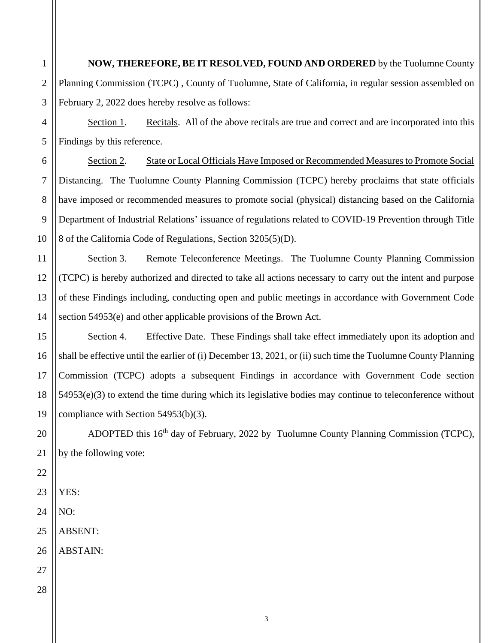**NOW, THEREFORE, BE IT RESOLVED, FOUND AND ORDERED** by the Tuolumne County Planning Commission (TCPC) , County of Tuolumne, State of California, in regular session assembled on February 2, 2022 does hereby resolve as follows:

Section 1. Recitals. All of the above recitals are true and correct and are incorporated into this Findings by this reference.

6 7 8 9 10 Section 2. State or Local Officials Have Imposed or Recommended Measures to Promote Social Distancing. The Tuolumne County Planning Commission (TCPC) hereby proclaims that state officials have imposed or recommended measures to promote social (physical) distancing based on the California Department of Industrial Relations' issuance of regulations related to COVID-19 Prevention through Title 8 of the California Code of Regulations, Section 3205(5)(D).

Section 3. Remote Teleconference Meetings. The Tuolumne County Planning Commission (TCPC) is hereby authorized and directed to take all actions necessary to carry out the intent and purpose of these Findings including, conducting open and public meetings in accordance with Government Code section 54953(e) and other applicable provisions of the Brown Act.

Section 4. Effective Date. These Findings shall take effect immediately upon its adoption and shall be effective until the earlier of (i) December 13, 2021, or (ii) such time the Tuolumne County Planning Commission (TCPC) adopts a subsequent Findings in accordance with Government Code section 54953(e)(3) to extend the time during which its legislative bodies may continue to teleconference without compliance with Section 54953(b)(3).

ADOPTED this 16<sup>th</sup> day of February, 2022 by Tuolumne County Planning Commission (TCPC), by the following vote:

23 YES:

1

2

3

4

5

11

12

13

14

15

16

17

18

19

20

21

22

24 NO:

ABSENT:

ABSTAIN: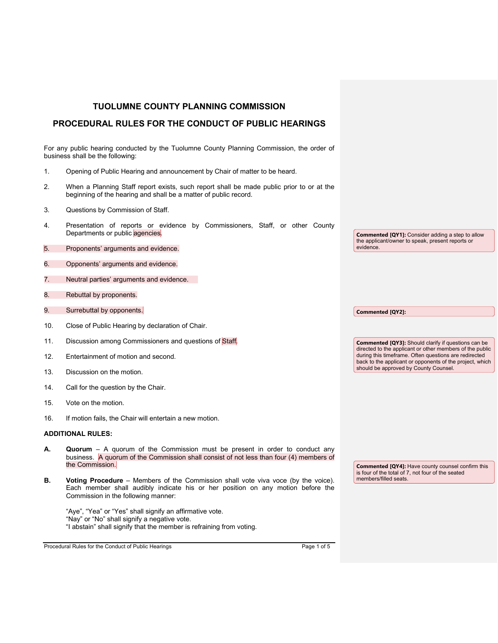|                                                                                                                               | TUOLUMNE COUNTY PLANNING COMMISSION                                                                                                                                                                                |  |
|-------------------------------------------------------------------------------------------------------------------------------|--------------------------------------------------------------------------------------------------------------------------------------------------------------------------------------------------------------------|--|
| <b>PROCEDURAL RULES FOR THE CONDUCT OF PUBLIC HEARINGS</b>                                                                    |                                                                                                                                                                                                                    |  |
|                                                                                                                               |                                                                                                                                                                                                                    |  |
| For any public hearing conducted by the Tuolumne County Planning Commission, the order of<br>business shall be the following: |                                                                                                                                                                                                                    |  |
| 1.                                                                                                                            | Opening of Public Hearing and announcement by Chair of matter to be heard.                                                                                                                                         |  |
| 2.                                                                                                                            | When a Planning Staff report exists, such report shall be made public prior to or at the<br>beginning of the hearing and shall be a matter of public record.                                                       |  |
| 3.                                                                                                                            | Questions by Commission of Staff.                                                                                                                                                                                  |  |
| 4.                                                                                                                            | Presentation of reports or evidence by Commissioners, Staff, or other County<br>Departments or public agencies.                                                                                                    |  |
| 5.                                                                                                                            | Proponents' arguments and evidence.                                                                                                                                                                                |  |
| 6.                                                                                                                            | Opponents' arguments and evidence.                                                                                                                                                                                 |  |
| 7.                                                                                                                            | Neutral parties' arguments and evidence.                                                                                                                                                                           |  |
| 8.                                                                                                                            | Rebuttal by proponents.                                                                                                                                                                                            |  |
| 9.                                                                                                                            | Surrebuttal by opponents.                                                                                                                                                                                          |  |
| 10.                                                                                                                           | Close of Public Hearing by declaration of Chair.                                                                                                                                                                   |  |
| 11.                                                                                                                           | Discussion among Commissioners and questions of Staff                                                                                                                                                              |  |
| 12.                                                                                                                           | Entertainment of motion and second.                                                                                                                                                                                |  |
| 13.                                                                                                                           | Discussion on the motion.                                                                                                                                                                                          |  |
| 14.                                                                                                                           | Call for the question by the Chair.                                                                                                                                                                                |  |
| 15.                                                                                                                           | Vote on the motion.                                                                                                                                                                                                |  |
| 16.                                                                                                                           | If motion fails, the Chair will entertain a new motion.                                                                                                                                                            |  |
|                                                                                                                               | <b>ADDITIONAL RULES:</b>                                                                                                                                                                                           |  |
|                                                                                                                               | Quorum - A quorum of the Commission must be present in order to conduct any<br>business. A quorum of the Commission shall consist of not less than four (4) members of<br>the Commission.                          |  |
| В.                                                                                                                            | <b>Voting Procedure</b> – Members of the Commission shall vote viva voce (by the voice).<br>Each member shall audibly indicate his or her position on any motion before the<br>Commission in the following manner: |  |
|                                                                                                                               | "Aye", "Yea" or "Yes" shall signify an affirmative vote.<br>"Nay" or "No" shall signify a negative vote.<br>"I abstain" shall signify that the member is refraining from voting.                                   |  |

Procedural Rules for the Conduct of Public Hearings Procedural Rules for the Conduct of Public Hearings Page 1 of 5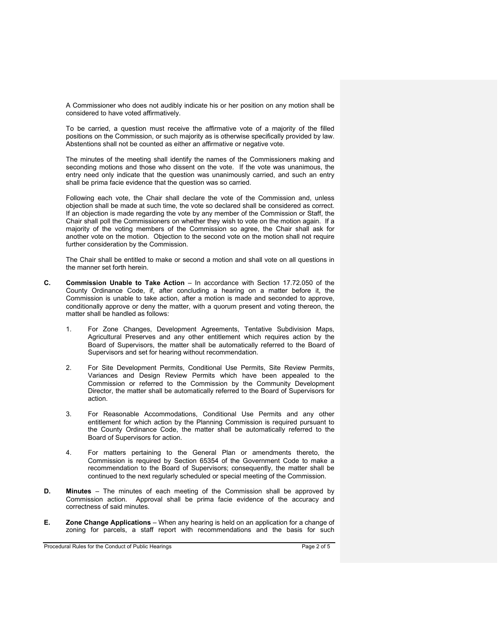A Commissioner who does not audibly indicate his or her position on any motion shall be considered to have voted affirmatively.

To be carried, a question must receive the affirmative vote of a majority of the filled positions on the Commission, or such majority as is otherwise specifically provided by law. Abstentions shall not be counted as either an affirmative or negative vote.

The minutes of the meeting shall identify the names of the Commissioners making and seconding motions and those who dissent on the vote. If the vote was unanimous, the entry need only indicate that the question was unanimously carried, and such an entry shall be prima facie evidence that the question was so carried.

Following each vote, the Chair shall declare the vote of the Commission and, unless objection shall be made at such time, the vote so declared shall be considered as correct. If an objection is made regarding the vote by any member of the Commission or Staff, the Chair shall poll the Commissioners on whether they wish to vote on the motion again. If a majority of the voting members of the Commission so agree, the Chair shall ask for another vote on the motion. Objection to the second vote on the motion shall not require further consideration by the Commission.

The Chair shall be entitled to make or second a motion and shall vote on all questions in the manner set forth herein.

- **C. Commission Unable to Take Action** In accordance with Section 17.72.050 of the County Ordinance Code, if, after concluding a hearing on a matter before it, the Commission is unable to take action, after a motion is made and seconded to approve, conditionally approve or deny the matter, with a quorum present and voting thereon, the matter shall be handled as follows:
	- 1. For Zone Changes, Development Agreements, Tentative Subdivision Maps, Agricultural Preserves and any other entitlement which requires action by the Board of Supervisors, the matter shall be automatically referred to the Board of Supervisors and set for hearing without recommendation.
	- 2. For Site Development Permits, Conditional Use Permits, Site Review Permits, Variances and Design Review Permits which have been appealed to the Commission or referred to the Commission by the Community Development Director, the matter shall be automatically referred to the Board of Supervisors for action.
	- 3. For Reasonable Accommodations, Conditional Use Permits and any other entitlement for which action by the Planning Commission is required pursuant to the County Ordinance Code, the matter shall be automatically referred to the Board of Supervisors for action.
	- 4. For matters pertaining to the General Plan or amendments thereto, the Commission is required by Section 65354 of the Government Code to make a recommendation to the Board of Supervisors; consequently, the matter shall be continued to the next regularly scheduled or special meeting of the Commission.
- **D. Minutes** The minutes of each meeting of the Commission shall be approved by Commission action. Approval shall be prima facie evidence of the accuracy and correctness of said minutes.
- **E. Zone Change Applications** When any hearing is held on an application for a change of zoning for parcels, a staff report with recommendations and the basis for such

Procedural Rules for the Conduct of Public Hearings Page 2 of 5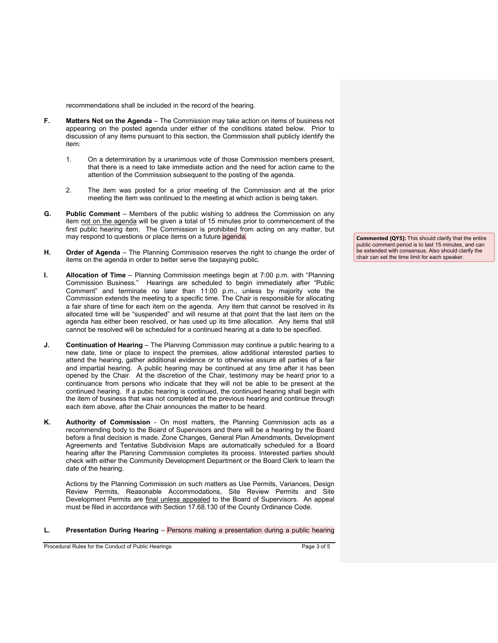recommendations shall be included in the record of the hearing.

- **F. Matters Not on the Agenda** The Commission may take action on items of business not appearing on the posted agenda under either of the conditions stated below. Prior to discussion of any items pursuant to this section, the Commission shall publicly identify the item:
	- 1. On a determination by a unanimous vote of those Commission members present, that there is a need to take immediate action and the need for action came to the attention of the Commission subsequent to the posting of the agenda.
	- 2. The item was posted for a prior meeting of the Commission and at the prior meeting the item was continued to the meeting at which action is being taken.
- **G. Public Comment** Members of the public wishing to address the Commission on any item not on the agenda will be given a total of 15 minutes prior to commencement of the first public hearing item. The Commission is prohibited from acting on any matter, but may respond to questions or place items on a future agenda.
- **H. Order of Agenda** The Planning Commission reserves the right to change the order of items on the agenda in order to better serve the taxpaying public.
- **I. Allocation of Time** Planning Commission meetings begin at 7:00 p.m. with "Planning Commission Business." Hearings are scheduled to begin immediately after "Public Comment" and terminate no later than 11:00 p.m., unless by majority vote the Commission extends the meeting to a specific time. The Chair is responsible for allocating a fair share of time for each item on the agenda. Any item that cannot be resolved in its allocated time will be "suspended" and will resume at that point that the last item on the agenda has either been resolved, or has used up its time allocation. Any items that still cannot be resolved will be scheduled for a continued hearing at a date to be specified.
- **J. Continuation of Hearing** The Planning Commission may continue a public hearing to a new date, time or place to inspect the premises, allow additional interested parties to attend the hearing, gather additional evidence or to otherwise assure all parties of a fair and impartial hearing. A public hearing may be continued at any time after it has been opened by the Chair. At the discretion of the Chair, testimony may be heard prior to a continuance from persons who indicate that they will not be able to be present at the continued hearing. If a pubic hearing is continued, the continued hearing shall begin with the item of business that was not completed at the previous hearing and continue through each item above, after the Chair announces the matter to be heard.
- **K. Authority of Commission** On most matters, the Planning Commission acts as a recommending body to the Board of Supervisors and there will be a hearing by the Board before a final decision is made. Zone Changes, General Plan Amendments, Development Agreements and Tentative Subdivision Maps are automatically scheduled for a Board hearing after the Planning Commission completes its process. Interested parties should check with either the Community Development Department or the Board Clerk to learn the date of the hearing.

Actions by the Planning Commission on such matters as Use Permits, Variances, Design Review Permits, Reasonable Accommodations, Site Review Permits and Site Development Permits are final unless appealed to the Board of Supervisors. An appeal must be filed in accordance with Section 17.68.130 of the County Ordinance Code.

**L. Presentation During Hearing** – Persons making a presentation during a public hearing

Procedural Rules for the Conduct of Public Hearings Page 3 of 5

**Commented [QY5]:** This should clarify that the entire public comment period is to last 15 minutes, and can be extended with consensus. Also should clarify the chair can set the time limit for each speaker.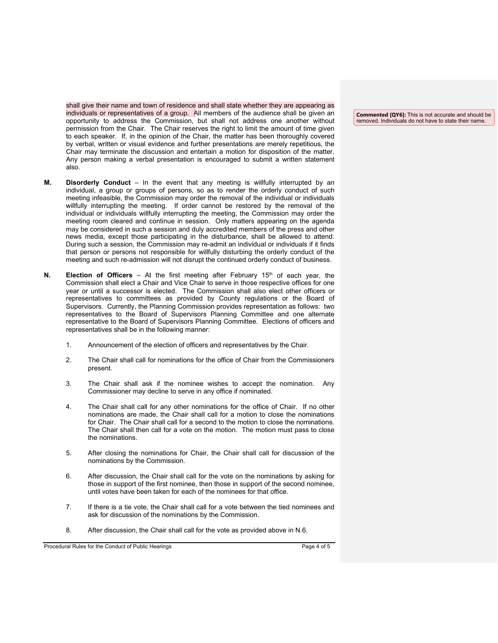shall give their name and town of residence and shall state whether they are appearing as individuals or representatives of a group. All members of the audience shall be given an opportunity to address the Commission, but shall not address one another without permission from the Chair. The Chair reserves the right to limit the amount of time given to each speaker. If, in the opinion of the Chair, the matter has been thoroughly covered by verbal, written or visual evidence and further presentations are merely repetitious, the Chair may terminate the discussion and entertain a motion for disposition of the matter. Any person making a verbal presentation is encouraged to submit a written statement also.

- **M. Disorderly Conduct** In the event that any meeting is willfully interrupted by an individual, a group or groups of persons, so as to render the orderly conduct of such meeting infeasible, the Commission may order the removal of the individual or individuals willfully interrupting the meeting. If order cannot be restored by the removal of the individual or individuals willfully interrupting the meeting, the Commission may order the meeting room cleared and continue in session. Only matters appearing on the agenda may be considered in such a session and duly accredited members of the press and other news media, except those participating in the disturbance, shall be allowed to attend. During such a session, the Commission may re-admit an individual or individuals if it finds that person or persons not responsible for willfully disturbing the orderly conduct of the meeting and such re-admission will not disrupt the continued orderly conduct of business.
- **N. Election of Officers** At the first meeting after February 15<sup>th</sup> of each year, the Commission shall elect a Chair and Vice Chair to serve in those respective offices for one year or until a successor is elected. The Commission shall also elect other officers or representatives to committees as provided by County regulations or the Board of Supervisors. Currently, the Planning Commission provides representation as follows: two representatives to the Board of Supervisors Planning Committee and one alternate representative to the Board of Supervisors Planning Committee. Elections of officers and representatives shall be in the following manner:
	- 1. Announcement of the election of officers and representatives by the Chair.
	- 2. The Chair shall call for nominations for the office of Chair from the Commissioners present.
	- 3. The Chair shall ask if the nominee wishes to accept the nomination. Any Commissioner may decline to serve in any office if nominated.
	- 4. The Chair shall call for any other nominations for the office of Chair. If no other nominations are made, the Chair shall call for a motion to close the nominations for Chair. The Chair shall call for a second to the motion to close the nominations. The Chair shall then call for a vote on the motion. The motion must pass to close the nominations.
	- 5. After closing the nominations for Chair, the Chair shall call for discussion of the nominations by the Commission.
	- 6. After discussion, the Chair shall call for the vote on the nominations by asking for those in support of the first nominee, then those in support of the second nominee, until votes have been taken for each of the nominees for that office.
	- 7. If there is a tie vote, the Chair shall call for a vote between the tied nominees and ask for discussion of the nominations by the Commission.
	- 8. After discussion, the Chair shall call for the vote as provided above in N.6.

Procedural Rules for the Conduct of Public Hearings Page 4 of 5

**Commented [QY6]:** This is not accurate and should be removed. Individuals do not have to state their name.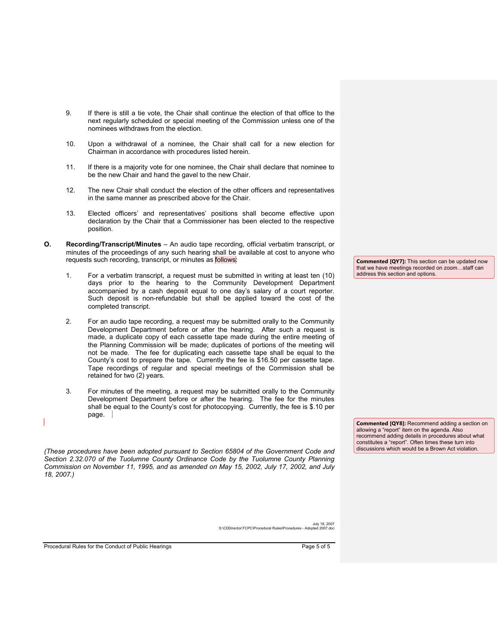- 9. If there is still a tie vote, the Chair shall continue the election of that office to the next regularly scheduled or special meeting of the Commission unless one of the nominees withdraws from the election.
- 10. Upon a withdrawal of a nominee, the Chair shall call for a new election for Chairman in accordance with procedures listed herein.
- 11. If there is a majority vote for one nominee, the Chair shall declare that nominee to be the new Chair and hand the gavel to the new Chair.
- 12. The new Chair shall conduct the election of the other officers and representatives in the same manner as prescribed above for the Chair.
- 13. Elected officers' and representatives' positions shall become effective upon declaration by the Chair that a Commissioner has been elected to the respective position.
- **O. Recording/Transcript/Minutes** An audio tape recording, official verbatim transcript, or minutes of the proceedings of any such hearing shall be available at cost to anyone who requests such recording, transcript, or minutes as follows:
	- 1. For a verbatim transcript, a request must be submitted in writing at least ten (10) days prior to the hearing to the Community Development Department accompanied by a cash deposit equal to one day's salary of a court reporter. Such deposit is non-refundable but shall be applied toward the cost of the completed transcript.
	- 2. For an audio tape recording, a request may be submitted orally to the Community Development Department before or after the hearing. After such a request is made, a duplicate copy of each cassette tape made during the entire meeting of the Planning Commission will be made; duplicates of portions of the meeting will not be made. The fee for duplicating each cassette tape shall be equal to the County's cost to prepare the tape. Currently the fee is \$16.50 per cassette tape. Tape recordings of regular and special meetings of the Commission shall be retained for two (2) years.
	- 3. For minutes of the meeting, a request may be submitted orally to the Community Development Department before or after the hearing. The fee for the minutes shall be equal to the County's cost for photocopying. Currently, the fee is \$.10 per page.

*(These procedures have been adopted pursuant to Section 65804 of the Government Code and Section 2.32.070 of the Tuolumne County Ordinance Code by the Tuolumne County Planning Commission on November 11, 1995, and as amended on May 15, 2002, July 17, 2002, and July 18, 2007.)* 

**Commented [QY7]:** This section can be updated now that we have meetings recorded on zoom…staff can address this section and options.

**Commented [QY8]:** Recommend adding a section on allowing a "report" item on the agenda. Also recommend adding details in procedures about what constitutes a "report". Often times these turn into discussions which would be a Brown Act violation.

July 18, 2007 S:\CDDirector\TCPC\Procedural Rules\Procedures - Adopted 2007.doc

Procedural Rules for the Conduct of Public Hearings Page 5 of 5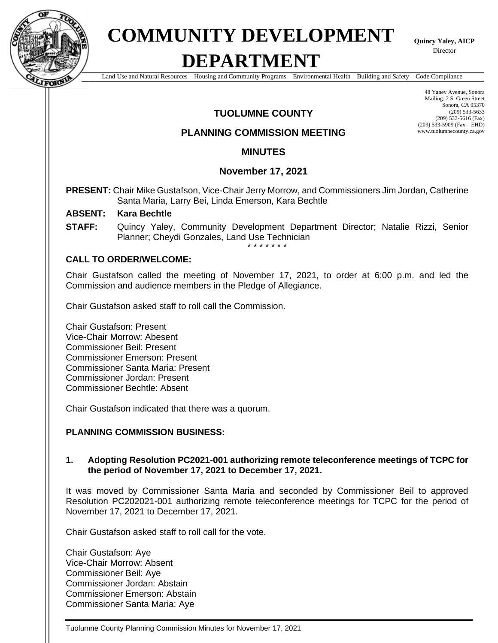

## **COMMUNITY DEVELOPMENT DEPARTMENT**

**Quincy Yaley, AICP** Director

Land Use and Natural Resources – Housing and Community Programs – Environmental Health – Building and Safety – Code Compliance

#### **TUOLUMNE COUNTY**

#### **PLANNING COMMISSION MEETING**

Mailing: 2 S. Green Street Sonora, CA 95370 (209) 533-5633 (209) 533-5616 (Fax) (209) 533-5909 (Fax – EHD) www.tuolumnecounty.ca.gov

48 Yaney Avenue, Sonora

#### **MINUTES**

#### **November 17, 2021**

**PRESENT:** Chair Mike Gustafson, Vice-Chair Jerry Morrow, and Commissioners Jim Jordan, Catherine Santa Maria, Larry Bei, Linda Emerson, Kara Bechtle

#### **ABSENT: Kara Bechtle**

**STAFF:** Quincy Yaley, Community Development Department Director; Natalie Rizzi, Senior Planner; Cheydi Gonzales, Land Use Technician

\* \* \* \* \* \* \*

#### **CALL TO ORDER/WELCOME:**

Chair Gustafson called the meeting of November 17, 2021, to order at 6:00 p.m. and led the Commission and audience members in the Pledge of Allegiance.

Chair Gustafson asked staff to roll call the Commission.

Chair Gustafson: Present Vice-Chair Morrow: Abesent Commissioner Beil: Present Commissioner Emerson: Present Commissioner Santa Maria: Present Commissioner Jordan: Present Commissioner Bechtle: Absent

Chair Gustafson indicated that there was a quorum.

#### **PLANNING COMMISSION BUSINESS:**

#### **1. Adopting Resolution PC2021-001 authorizing remote teleconference meetings of TCPC for the period of November 17, 2021 to December 17, 2021.**

It was moved by Commissioner Santa Maria and seconded by Commissioner Beil to approved Resolution PC202021-001 authorizing remote teleconference meetings for TCPC for the period of November 17, 2021 to December 17, 2021.

Chair Gustafson asked staff to roll call for the vote.

Chair Gustafson: Aye Vice-Chair Morrow: Absent Commissioner Beil: Aye Commissioner Jordan: Abstain Commissioner Emerson: Abstain Commissioner Santa Maria: Aye

Tuolumne County Planning Commission Minutes for November 17, 2021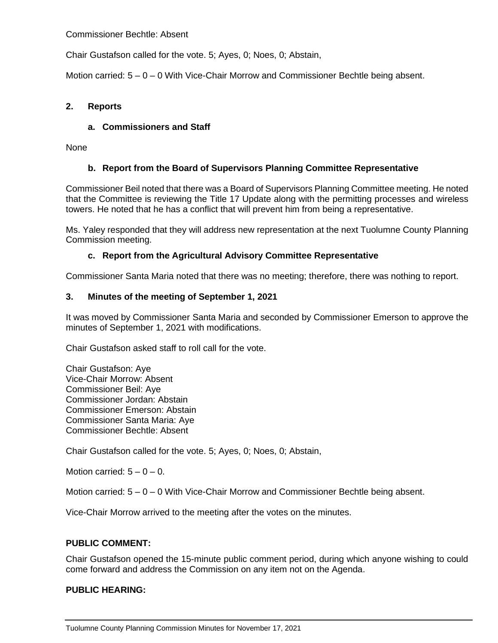Commissioner Bechtle: Absent

Chair Gustafson called for the vote. 5; Ayes, 0; Noes, 0; Abstain,

Motion carried:  $5 - 0 - 0$  With Vice-Chair Morrow and Commissioner Bechtle being absent.

#### **2. Reports**

#### **a. Commissioners and Staff**

None

#### **b. Report from the Board of Supervisors Planning Committee Representative**

Commissioner Beil noted that there was a Board of Supervisors Planning Committee meeting. He noted that the Committee is reviewing the Title 17 Update along with the permitting processes and wireless towers. He noted that he has a conflict that will prevent him from being a representative.

Ms. Yaley responded that they will address new representation at the next Tuolumne County Planning Commission meeting.

#### **c. Report from the Agricultural Advisory Committee Representative**

Commissioner Santa Maria noted that there was no meeting; therefore, there was nothing to report.

#### **3. Minutes of the meeting of September 1, 2021**

It was moved by Commissioner Santa Maria and seconded by Commissioner Emerson to approve the minutes of September 1, 2021 with modifications.

Chair Gustafson asked staff to roll call for the vote.

Chair Gustafson: Aye Vice-Chair Morrow: Absent Commissioner Beil: Aye Commissioner Jordan: Abstain Commissioner Emerson: Abstain Commissioner Santa Maria: Aye Commissioner Bechtle: Absent

Chair Gustafson called for the vote. 5; Ayes, 0; Noes, 0; Abstain,

Motion carried:  $5 - 0 - 0$ .

Motion carried:  $5 - 0 - 0$  With Vice-Chair Morrow and Commissioner Bechtle being absent.

Vice-Chair Morrow arrived to the meeting after the votes on the minutes.

#### **PUBLIC COMMENT:**

Chair Gustafson opened the 15-minute public comment period, during which anyone wishing to could come forward and address the Commission on any item not on the Agenda.

#### **PUBLIC HEARING:**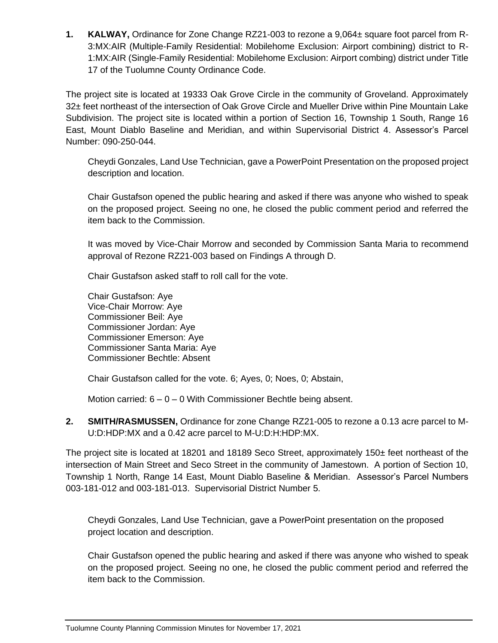**1. KALWAY,** Ordinance for Zone Change RZ21-003 to rezone a 9,064± square foot parcel from R-3:MX:AIR (Multiple-Family Residential: Mobilehome Exclusion: Airport combining) district to R-1:MX:AIR (Single-Family Residential: Mobilehome Exclusion: Airport combing) district under Title 17 of the Tuolumne County Ordinance Code.

The project site is located at 19333 Oak Grove Circle in the community of Groveland. Approximately 32± feet northeast of the intersection of Oak Grove Circle and Mueller Drive within Pine Mountain Lake Subdivision. The project site is located within a portion of Section 16, Township 1 South, Range 16 East, Mount Diablo Baseline and Meridian, and within Supervisorial District 4. Assessor's Parcel Number: 090-250-044.

Cheydi Gonzales, Land Use Technician, gave a PowerPoint Presentation on the proposed project description and location.

Chair Gustafson opened the public hearing and asked if there was anyone who wished to speak on the proposed project. Seeing no one, he closed the public comment period and referred the item back to the Commission.

It was moved by Vice-Chair Morrow and seconded by Commission Santa Maria to recommend approval of Rezone RZ21-003 based on Findings A through D.

Chair Gustafson asked staff to roll call for the vote.

Chair Gustafson: Aye Vice-Chair Morrow: Aye Commissioner Beil: Aye Commissioner Jordan: Aye Commissioner Emerson: Aye Commissioner Santa Maria: Aye Commissioner Bechtle: Absent

Chair Gustafson called for the vote. 6; Ayes, 0; Noes, 0; Abstain,

Motion carried:  $6 - 0 - 0$  With Commissioner Bechtle being absent.

**2. SMITH/RASMUSSEN,** Ordinance for zone Change RZ21-005 to rezone a 0.13 acre parcel to M-U:D:HDP:MX and a 0.42 acre parcel to M-U:D:H:HDP:MX.

The project site is located at 18201 and 18189 Seco Street, approximately 150± feet northeast of the intersection of Main Street and Seco Street in the community of Jamestown. A portion of Section 10, Township 1 North, Range 14 East, Mount Diablo Baseline & Meridian. Assessor's Parcel Numbers 003-181-012 and 003-181-013. Supervisorial District Number 5.

Cheydi Gonzales, Land Use Technician, gave a PowerPoint presentation on the proposed project location and description.

Chair Gustafson opened the public hearing and asked if there was anyone who wished to speak on the proposed project. Seeing no one, he closed the public comment period and referred the item back to the Commission.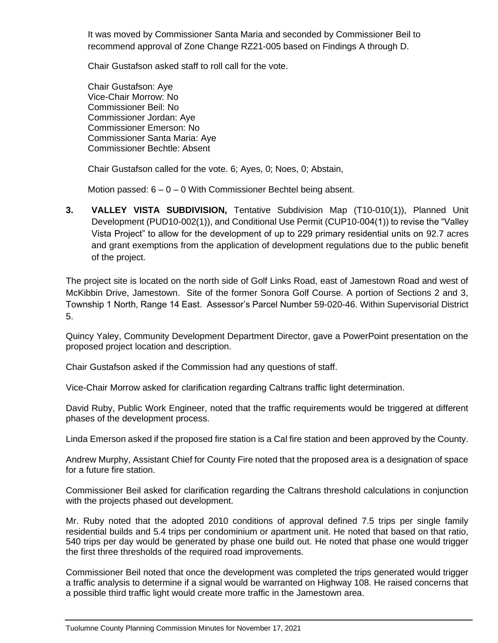It was moved by Commissioner Santa Maria and seconded by Commissioner Beil to recommend approval of Zone Change RZ21-005 based on Findings A through D.

Chair Gustafson asked staff to roll call for the vote.

Chair Gustafson: Aye Vice-Chair Morrow: No Commissioner Beil: No Commissioner Jordan: Aye Commissioner Emerson: No Commissioner Santa Maria: Aye Commissioner Bechtle: Absent

Chair Gustafson called for the vote. 6; Ayes, 0; Noes, 0; Abstain,

Motion passed:  $6 - 0 - 0$  With Commissioner Bechtel being absent.

**3. VALLEY VISTA SUBDIVISION,** Tentative Subdivision Map (T10-010(1)), Planned Unit Development (PUD10-002(1)), and Conditional Use Permit (CUP10-004(1)) to revise the "Valley Vista Project" to allow for the development of up to 229 primary residential units on 92.7 acres and grant exemptions from the application of development regulations due to the public benefit of the project.

The project site is located on the north side of Golf Links Road, east of Jamestown Road and west of McKibbin Drive, Jamestown. Site of the former Sonora Golf Course. A portion of Sections 2 and 3, Township 1 North, Range 14 East. Assessor's Parcel Number 59-020-46. Within Supervisorial District 5.

Quincy Yaley, Community Development Department Director, gave a PowerPoint presentation on the proposed project location and description.

Chair Gustafson asked if the Commission had any questions of staff.

Vice-Chair Morrow asked for clarification regarding Caltrans traffic light determination.

David Ruby, Public Work Engineer, noted that the traffic requirements would be triggered at different phases of the development process.

Linda Emerson asked if the proposed fire station is a Cal fire station and been approved by the County.

Andrew Murphy, Assistant Chief for County Fire noted that the proposed area is a designation of space for a future fire station.

Commissioner Beil asked for clarification regarding the Caltrans threshold calculations in conjunction with the projects phased out development.

Mr. Ruby noted that the adopted 2010 conditions of approval defined 7.5 trips per single family residential builds and 5.4 trips per condominium or apartment unit. He noted that based on that ratio, 540 trips per day would be generated by phase one build out. He noted that phase one would trigger the first three thresholds of the required road improvements.

Commissioner Beil noted that once the development was completed the trips generated would trigger a traffic analysis to determine if a signal would be warranted on Highway 108. He raised concerns that a possible third traffic light would create more traffic in the Jamestown area.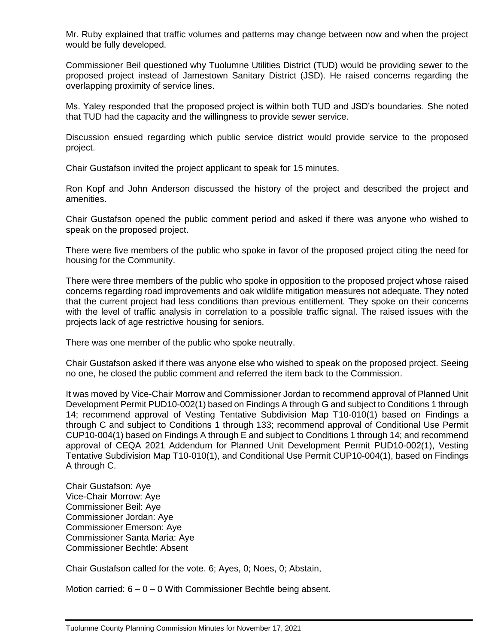Mr. Ruby explained that traffic volumes and patterns may change between now and when the project would be fully developed.

Commissioner Beil questioned why Tuolumne Utilities District (TUD) would be providing sewer to the proposed project instead of Jamestown Sanitary District (JSD). He raised concerns regarding the overlapping proximity of service lines.

Ms. Yaley responded that the proposed project is within both TUD and JSD's boundaries. She noted that TUD had the capacity and the willingness to provide sewer service.

Discussion ensued regarding which public service district would provide service to the proposed project.

Chair Gustafson invited the project applicant to speak for 15 minutes.

Ron Kopf and John Anderson discussed the history of the project and described the project and amenities.

Chair Gustafson opened the public comment period and asked if there was anyone who wished to speak on the proposed project.

There were five members of the public who spoke in favor of the proposed project citing the need for housing for the Community.

There were three members of the public who spoke in opposition to the proposed project whose raised concerns regarding road improvements and oak wildlife mitigation measures not adequate. They noted that the current project had less conditions than previous entitlement. They spoke on their concerns with the level of traffic analysis in correlation to a possible traffic signal. The raised issues with the projects lack of age restrictive housing for seniors.

There was one member of the public who spoke neutrally.

Chair Gustafson asked if there was anyone else who wished to speak on the proposed project. Seeing no one, he closed the public comment and referred the item back to the Commission.

It was moved by Vice-Chair Morrow and Commissioner Jordan to recommend approval of Planned Unit Development Permit PUD10-002(1) based on Findings A through G and subject to Conditions 1 through 14; recommend approval of Vesting Tentative Subdivision Map T10-010(1) based on Findings a through C and subject to Conditions 1 through 133; recommend approval of Conditional Use Permit CUP10-004(1) based on Findings A through E and subject to Conditions 1 through 14; and recommend approval of CEQA 2021 Addendum for Planned Unit Development Permit PUD10-002(1), Vesting Tentative Subdivision Map T10-010(1), and Conditional Use Permit CUP10-004(1), based on Findings A through C.

Chair Gustafson: Aye Vice-Chair Morrow: Aye Commissioner Beil: Aye Commissioner Jordan: Aye Commissioner Emerson: Aye Commissioner Santa Maria: Aye Commissioner Bechtle: Absent

Chair Gustafson called for the vote. 6; Ayes, 0; Noes, 0; Abstain,

Motion carried:  $6 - 0 - 0$  With Commissioner Bechtle being absent.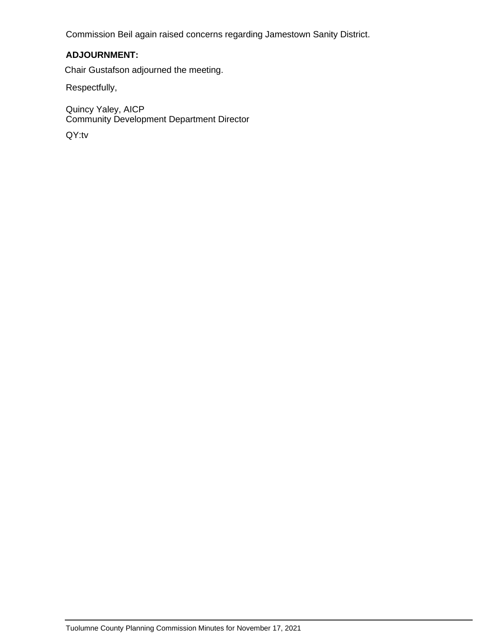Commission Beil again raised concerns regarding Jamestown Sanity District.

#### **ADJOURNMENT:**

Chair Gustafson adjourned the meeting.

Respectfully,

Quincy Yaley, AICP Community Development Department Director

QY:tv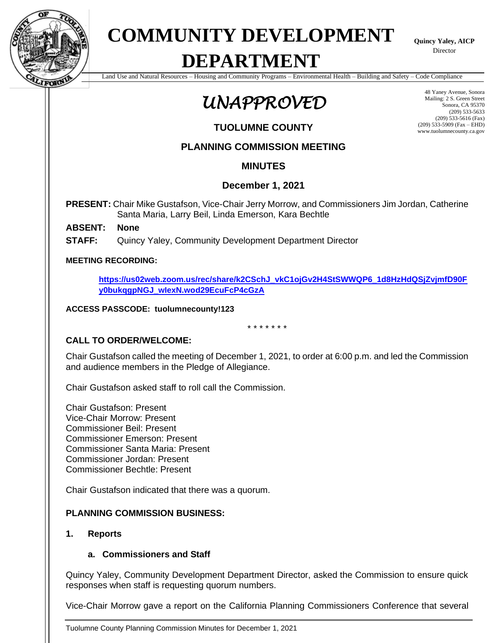

# **COMMUNITY DEVELOPMENT**

**Quincy Yaley, AICP Director** 

## **DEPARTMENT**

Land Use and Natural Resources – Housing and Community Programs – Environmental Health – Building and Safety – Code Compliance

### *UNAPPROVED*

**TUOLUMNE COUNTY**

#### **PLANNING COMMISSION MEETING**

#### **MINUTES**

#### **December 1, 2021**

**PRESENT:** Chair Mike Gustafson, Vice-Chair Jerry Morrow, and Commissioners Jim Jordan, Catherine Santa Maria, Larry Beil, Linda Emerson, Kara Bechtle

#### **ABSENT: None**

**STAFF:** Quincy Yaley, Community Development Department Director

#### **MEETING RECORDING:**

**[https://us02web.zoom.us/rec/share/k2CSchJ\\_vkC1ojGv2H4StSWWQP6\\_1d8HzHdQSjZvjmfD90F](https://us02web.zoom.us/rec/share/k2CSchJ_vkC1ojGv2H4StSWWQP6_1d8HzHdQSjZvjmfD90Fy0bukqgpNGJ_wIexN.wod29EcuFcP4cGzA) [y0bukqgpNGJ\\_wIexN.wod29EcuFcP4cGzA](https://us02web.zoom.us/rec/share/k2CSchJ_vkC1ojGv2H4StSWWQP6_1d8HzHdQSjZvjmfD90Fy0bukqgpNGJ_wIexN.wod29EcuFcP4cGzA)**

#### **ACCESS PASSCODE: tuolumnecounty!123**

\* \* \* \* \* \* \*

#### **CALL TO ORDER/WELCOME:**

Chair Gustafson called the meeting of December 1, 2021, to order at 6:00 p.m. and led the Commission and audience members in the Pledge of Allegiance.

Chair Gustafson asked staff to roll call the Commission.

Chair Gustafson: Present Vice-Chair Morrow: Present Commissioner Beil: Present Commissioner Emerson: Present Commissioner Santa Maria: Present Commissioner Jordan: Present Commissioner Bechtle: Present

Chair Gustafson indicated that there was a quorum.

#### **PLANNING COMMISSION BUSINESS:**

#### **1. Reports**

#### **a. Commissioners and Staff**

Quincy Yaley, Community Development Department Director, asked the Commission to ensure quick responses when staff is requesting quorum numbers.

Vice-Chair Morrow gave a report on the California Planning Commissioners Conference that several

Tuolumne County Planning Commission Minutes for December 1, 2021

48 Yaney Avenue, Sonora Mailing: 2 S. Green Street Sonora, CA 95370 (209) 533-5633 (209) 533-5616 (Fax) (209) 533-5909 (Fax – EHD) www.tuolumnecounty.ca.gov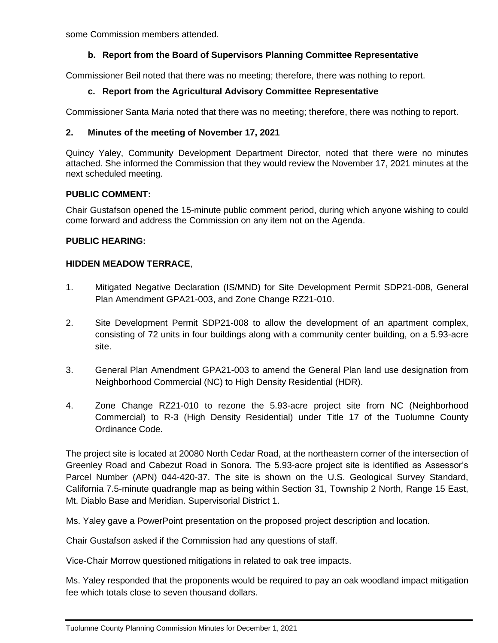some Commission members attended.

#### **b. Report from the Board of Supervisors Planning Committee Representative**

Commissioner Beil noted that there was no meeting; therefore, there was nothing to report.

#### **c. Report from the Agricultural Advisory Committee Representative**

Commissioner Santa Maria noted that there was no meeting; therefore, there was nothing to report.

#### **2. Minutes of the meeting of November 17, 2021**

Quincy Yaley, Community Development Department Director, noted that there were no minutes attached. She informed the Commission that they would review the November 17, 2021 minutes at the next scheduled meeting.

#### **PUBLIC COMMENT:**

Chair Gustafson opened the 15-minute public comment period, during which anyone wishing to could come forward and address the Commission on any item not on the Agenda.

#### **PUBLIC HEARING:**

#### **HIDDEN MEADOW TERRACE**,

- 1. Mitigated Negative Declaration (IS/MND) for Site Development Permit SDP21-008, General Plan Amendment GPA21-003, and Zone Change RZ21-010.
- 2. Site Development Permit SDP21-008 to allow the development of an apartment complex, consisting of 72 units in four buildings along with a community center building, on a 5.93-acre site.
- 3. General Plan Amendment GPA21-003 to amend the General Plan land use designation from Neighborhood Commercial (NC) to High Density Residential (HDR).
- 4. Zone Change RZ21-010 to rezone the 5.93-acre project site from NC (Neighborhood Commercial) to R-3 (High Density Residential) under Title 17 of the Tuolumne County Ordinance Code.

The project site is located at 20080 North Cedar Road, at the northeastern corner of the intersection of Greenley Road and Cabezut Road in Sonora. The 5.93-acre project site is identified as Assessor's Parcel Number (APN) 044-420-37. The site is shown on the U.S. Geological Survey Standard, California 7.5-minute quadrangle map as being within Section 31, Township 2 North, Range 15 East, Mt. Diablo Base and Meridian. Supervisorial District 1.

Ms. Yaley gave a PowerPoint presentation on the proposed project description and location.

Chair Gustafson asked if the Commission had any questions of staff.

Vice-Chair Morrow questioned mitigations in related to oak tree impacts.

Ms. Yaley responded that the proponents would be required to pay an oak woodland impact mitigation fee which totals close to seven thousand dollars.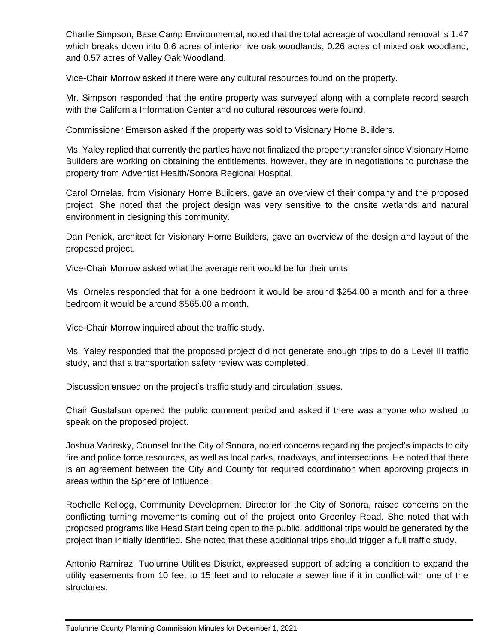Charlie Simpson, Base Camp Environmental, noted that the total acreage of woodland removal is 1.47 which breaks down into 0.6 acres of interior live oak woodlands, 0.26 acres of mixed oak woodland, and 0.57 acres of Valley Oak Woodland.

Vice-Chair Morrow asked if there were any cultural resources found on the property.

Mr. Simpson responded that the entire property was surveyed along with a complete record search with the California Information Center and no cultural resources were found.

Commissioner Emerson asked if the property was sold to Visionary Home Builders.

Ms. Yaley replied that currently the parties have not finalized the property transfer since Visionary Home Builders are working on obtaining the entitlements, however, they are in negotiations to purchase the property from Adventist Health/Sonora Regional Hospital.

Carol Ornelas, from Visionary Home Builders, gave an overview of their company and the proposed project. She noted that the project design was very sensitive to the onsite wetlands and natural environment in designing this community.

Dan Penick, architect for Visionary Home Builders, gave an overview of the design and layout of the proposed project.

Vice-Chair Morrow asked what the average rent would be for their units.

Ms. Ornelas responded that for a one bedroom it would be around \$254.00 a month and for a three bedroom it would be around \$565.00 a month.

Vice-Chair Morrow inquired about the traffic study.

Ms. Yaley responded that the proposed project did not generate enough trips to do a Level III traffic study, and that a transportation safety review was completed.

Discussion ensued on the project's traffic study and circulation issues.

Chair Gustafson opened the public comment period and asked if there was anyone who wished to speak on the proposed project.

Joshua Varinsky, Counsel for the City of Sonora, noted concerns regarding the project's impacts to city fire and police force resources, as well as local parks, roadways, and intersections. He noted that there is an agreement between the City and County for required coordination when approving projects in areas within the Sphere of Influence.

Rochelle Kellogg, Community Development Director for the City of Sonora, raised concerns on the conflicting turning movements coming out of the project onto Greenley Road. She noted that with proposed programs like Head Start being open to the public, additional trips would be generated by the project than initially identified. She noted that these additional trips should trigger a full traffic study.

Antonio Ramirez, Tuolumne Utilities District, expressed support of adding a condition to expand the utility easements from 10 feet to 15 feet and to relocate a sewer line if it in conflict with one of the structures.